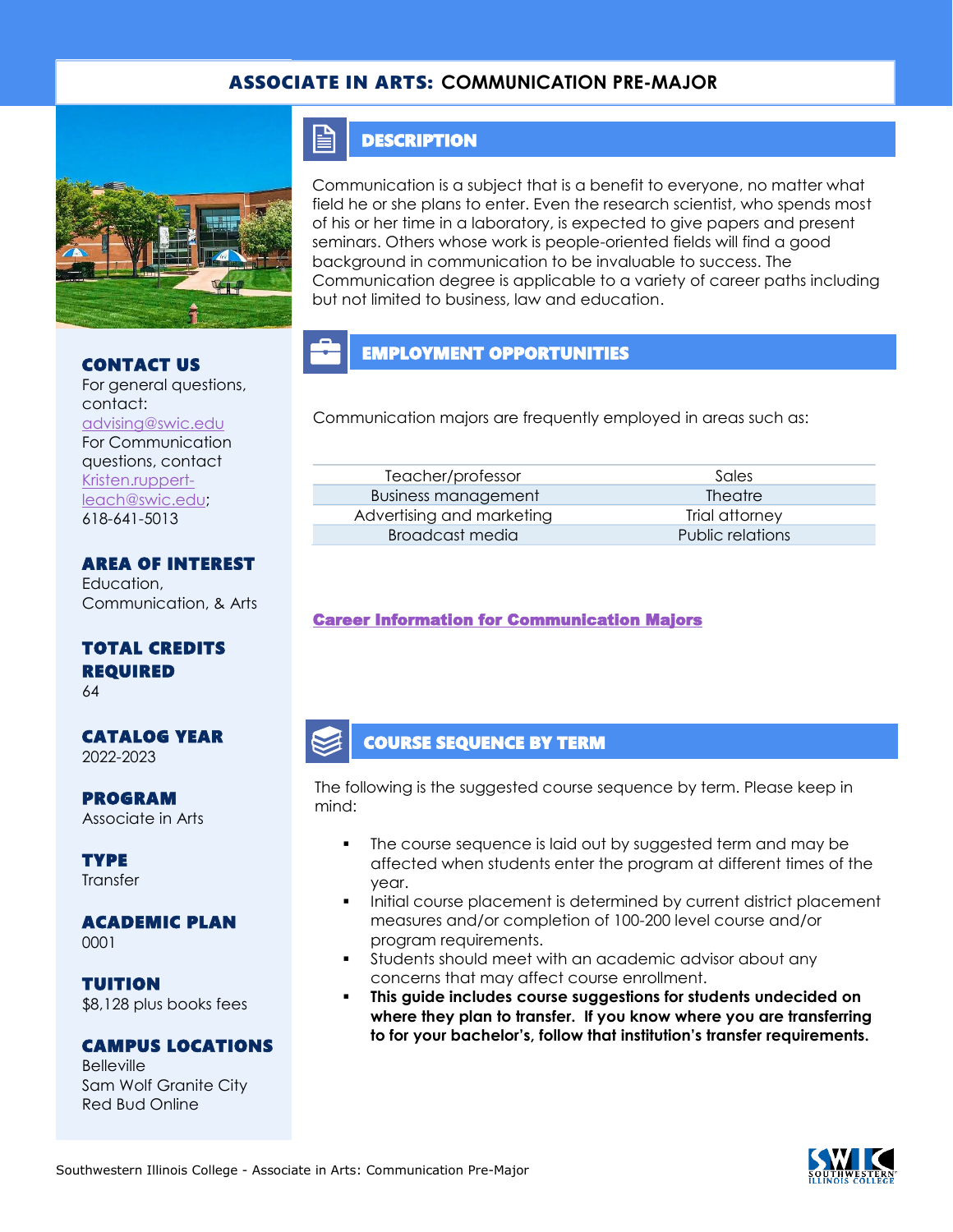### ASSOCIATE IN ARTS: **COMMUNICATION PRE-MAJOR**



#### CONTACT US

For general questions, contact: [advising@swic.edu](mailto:advising@swic.edu) For Communication questions, contact [Kristen.ruppert](mailto:Kristen.ruppert-leach@swic.edu)[leach@swic.edu;](mailto:Kristen.ruppert-leach@swic.edu) 618-641-5013

AREA OF INTEREST Education,

Communication, & Arts

### TOTAL CREDITS REQUIRED

64

CATALOG YEAR 2022-2023

PROGRAM Associate in Arts

**TYPE Transfer** 

## ACADEMIC PLAN

0001

TUITION \$8,128 plus books fees

### CAMPUS LOCATIONS

Belleville Sam Wolf Granite City Red Bud Online

## **DESCRIPTION**

F

Communication is a subject that is a benefit to everyone, no matter what field he or she plans to enter. Even the research scientist, who spends most of his or her time in a laboratory, is expected to give papers and present seminars. Others whose work is people-oriented fields will find a good background in communication to be invaluable to success. The Communication degree is applicable to a variety of career paths including but not limited to business, law and education.

# EMPLOYMENT OPPORTUNITIES

Communication majors are frequently employed in areas such as:

| Teacher/professor          | Sales            |
|----------------------------|------------------|
| <b>Business management</b> | <b>Theatre</b>   |
| Advertising and marketing  | Trial attorney   |
| Broadcast media            | Public relations |
|                            |                  |

### [Career Information for Communication Majors](https://www.onetonline.org/find/quick?s=communication)

### COURSE SEQUENCE BY TERM

The following is the suggested course sequence by term. Please keep in mind:

- The course sequence is laid out by suggested term and may be affected when students enter the program at different times of the year.
- Initial course placement is determined by current district placement measures and/or completion of 100-200 level course and/or program requirements.
- Students should meet with an academic advisor about any concerns that may affect course enrollment.
- **This guide includes course suggestions for students undecided on where they plan to transfer. If you know where you are transferring to for your bachelor's, follow that institution's transfer requirements.**